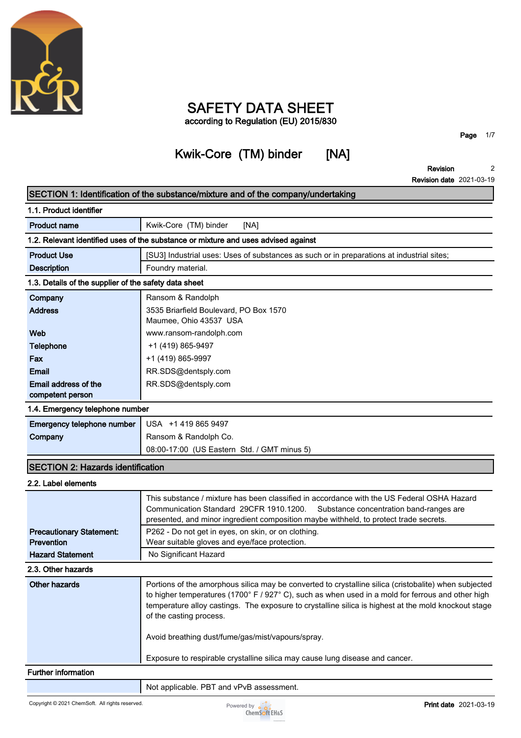

# **SAFETY DATA SHEET according to Regulation (EU) 2015/830**

# **Kwik-Core (TM) binder [NA]**

**SECTION 1: Identification of the substance/mixture and of the company/undertaking**

**Page 1/7**

٦

**Revision Revision date 2021-03-19 2**

|                                                                                    | SECTION 1: Identification of the substance/mixture and of the company/undertaking                                                                                                                                                                                                                                                             |
|------------------------------------------------------------------------------------|-----------------------------------------------------------------------------------------------------------------------------------------------------------------------------------------------------------------------------------------------------------------------------------------------------------------------------------------------|
| 1.1. Product identifier                                                            |                                                                                                                                                                                                                                                                                                                                               |
| <b>Product name</b>                                                                | Kwik-Core (TM) binder<br>[NA]                                                                                                                                                                                                                                                                                                                 |
| 1.2. Relevant identified uses of the substance or mixture and uses advised against |                                                                                                                                                                                                                                                                                                                                               |
| <b>Product Use</b>                                                                 | [SU3] Industrial uses: Uses of substances as such or in preparations at industrial sites;                                                                                                                                                                                                                                                     |
| <b>Description</b>                                                                 | Foundry material.                                                                                                                                                                                                                                                                                                                             |
| 1.3. Details of the supplier of the safety data sheet                              |                                                                                                                                                                                                                                                                                                                                               |
| Company                                                                            | Ransom & Randolph                                                                                                                                                                                                                                                                                                                             |
| <b>Address</b>                                                                     | 3535 Briarfield Boulevard, PO Box 1570<br>Maumee, Ohio 43537 USA                                                                                                                                                                                                                                                                              |
| Web                                                                                | www.ransom-randolph.com                                                                                                                                                                                                                                                                                                                       |
| <b>Telephone</b>                                                                   | +1 (419) 865-9497                                                                                                                                                                                                                                                                                                                             |
| Fax                                                                                | +1 (419) 865-9997                                                                                                                                                                                                                                                                                                                             |
| <b>Email</b>                                                                       | RR.SDS@dentsply.com                                                                                                                                                                                                                                                                                                                           |
| Email address of the<br>competent person                                           | RR.SDS@dentsply.com                                                                                                                                                                                                                                                                                                                           |
| 1.4. Emergency telephone number                                                    |                                                                                                                                                                                                                                                                                                                                               |
|                                                                                    | USA +1 419 865 9497                                                                                                                                                                                                                                                                                                                           |
| Emergency telephone number                                                         | Ransom & Randolph Co.                                                                                                                                                                                                                                                                                                                         |
| Company                                                                            | 08:00-17:00 (US Eastern Std. / GMT minus 5)                                                                                                                                                                                                                                                                                                   |
|                                                                                    |                                                                                                                                                                                                                                                                                                                                               |
| <b>SECTION 2: Hazards identification</b>                                           |                                                                                                                                                                                                                                                                                                                                               |
| 2.2. Label elements                                                                |                                                                                                                                                                                                                                                                                                                                               |
|                                                                                    | This substance / mixture has been classified in accordance with the US Federal OSHA Hazard<br>Communication Standard 29CFR 1910.1200.<br>Substance concentration band-ranges are<br>presented, and minor ingredient composition maybe withheld, to protect trade secrets.                                                                     |
| <b>Precautionary Statement:</b>                                                    | P262 - Do not get in eyes, on skin, or on clothing.                                                                                                                                                                                                                                                                                           |
| Prevention                                                                         | Wear suitable gloves and eye/face protection.                                                                                                                                                                                                                                                                                                 |
| <b>Hazard Statement</b>                                                            | No Significant Hazard                                                                                                                                                                                                                                                                                                                         |
| 2.3. Other hazards                                                                 |                                                                                                                                                                                                                                                                                                                                               |
| <b>Other hazards</b>                                                               | Portions of the amorphous silica may be converted to crystalline silica (cristobalite) when subjected<br>to higher temperatures (1700° F / 927° C), such as when used in a mold for ferrous and other high<br>temperature alloy castings. The exposure to crystalline silica is highest at the mold knockout stage<br>of the casting process. |
|                                                                                    | Avoid breathing dust/fume/gas/mist/vapours/spray.                                                                                                                                                                                                                                                                                             |
|                                                                                    | Exposure to respirable crystalline silica may cause lung disease and cancer.                                                                                                                                                                                                                                                                  |
| <b>Further information</b>                                                         |                                                                                                                                                                                                                                                                                                                                               |
|                                                                                    | Not applicable. PBT and vPvB assessment.                                                                                                                                                                                                                                                                                                      |
|                                                                                    |                                                                                                                                                                                                                                                                                                                                               |

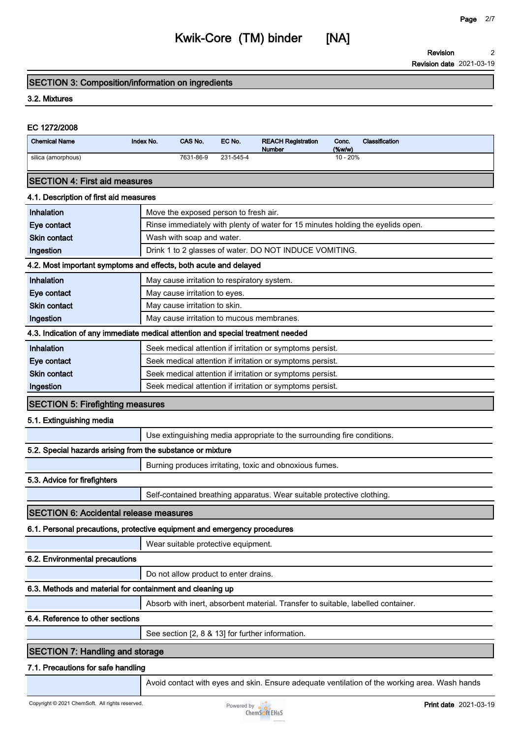**Revision 2**

## **SECTION 3: Composition/information on ingredients**

### **3.2. Mixtures**

# **EC 1272/2008 Chemical Name Index No. CAS No. EC No. REACH Registration Number Conc. (%w/w) Classification silica (amorphous) 7631-86-9 231-545-4 10 - 20% SECTION 4: First aid measures 4.1. Description of first aid measures Inhalation I** Move the exposed person to fresh air. **Eye contact Rinse immediately with plenty of water for 15 minutes holding the eyelids open. Skin contact Wash with soap and water. Ingestion Drink 1 to 2 glasses of water. DO NOT INDUCE VOMITING. 4.2. Most important symptoms and effects, both acute and delayed Inhalation May cause irritation to respiratory system. Eye contact May cause irritation to eyes. Skin contact May cause irritation to skin. Ingestion May cause irritation to mucous membranes. 4.3. Indication of any immediate medical attention and special treatment needed Inhalation Seek medical attention if irritation or symptoms persist. Eye contact Seek medical attention if irritation or symptoms persist. Skin contact Seek** medical attention if irritation or symptoms persist. **Ingestion Seek medical attention if irritation or symptoms persist. SECTION 5: Firefighting measures 5.1. Extinguishing media Use extinguishing media appropriate to the surrounding fire conditions. 5.2. Special hazards arising from the substance or mixture Burning produces irritating, toxic and obnoxious fumes. 5.3. Advice for firefighters Self-contained breathing apparatus. Wear suitable protective clothing. SECTION 6: Accidental release measures 6.1. Personal precautions, protective equipment and emergency procedures Wear suitable protective equipment. 6.2. Environmental precautions Do not allow product to enter drains. 6.3. Methods and material for containment and cleaning up Absorb with inert, absorbent material. Transfer to suitable, labelled container. 6.4. Reference to other sections See section [2, 8 & 13] for further information. SECTION 7: Handling and storage 7.1. Precautions for safe handling Avoid contact with eyes and skin. Ensure adequate ventilation of the working area. Wash hands**

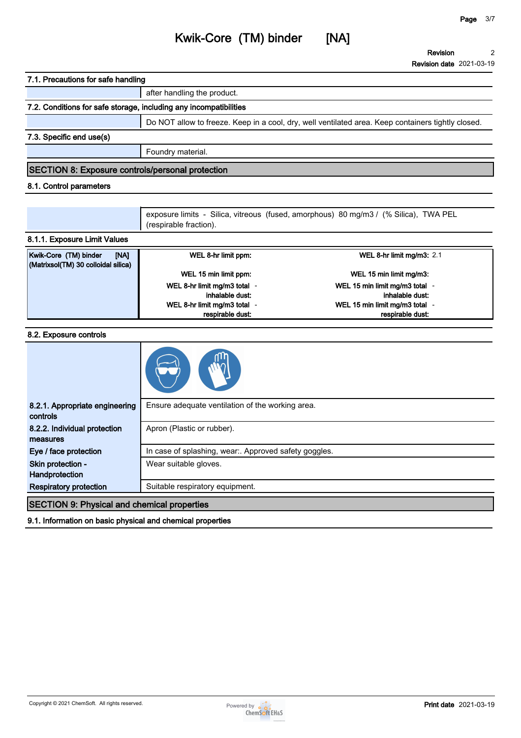# **Kwik-Core (TM) binder [NA]**

**after handling the product.**

**Revision Revision date 2021-03-19 2**

|                                                                                                                  | 7.2. Conditions for safe storage, including any incompatibilities |                                                                                                    |
|------------------------------------------------------------------------------------------------------------------|-------------------------------------------------------------------|----------------------------------------------------------------------------------------------------|
|                                                                                                                  |                                                                   | Do NOT allow to freeze. Keep in a cool, dry, well ventilated area. Keep containers tightly closed. |
| 7.3. Specific end use(s)                                                                                         |                                                                   |                                                                                                    |
|                                                                                                                  | Foundry material.                                                 |                                                                                                    |
| <b>SECTION 8: Exposure controls/personal protection</b>                                                          |                                                                   |                                                                                                    |
| 8.1. Control parameters                                                                                          |                                                                   |                                                                                                    |
|                                                                                                                  |                                                                   |                                                                                                    |
|                                                                                                                  | (respirable fraction).                                            | exposure limits - Silica, vitreous (fused, amorphous) 80 mg/m3 / (% Silica), TWA PEL               |
| 8.1.1. Exposure Limit Values                                                                                     |                                                                   |                                                                                                    |
| Kwik-Core (TM) binder<br>[NA]<br>(Matrixsol(TM) 30 colloidal silica)                                             | WEL 8-hr limit ppm:                                               | WEL 8-hr limit mg/m3: 2.1                                                                          |
|                                                                                                                  | WEL 15 min limit ppm:                                             | WEL 15 min limit mg/m3:                                                                            |
|                                                                                                                  | WEL 8-hr limit mg/m3 total -                                      | WEL 15 min limit mg/m3 total -<br>inhalable dust:                                                  |
|                                                                                                                  | inhalable dust:<br>WEL 8-hr limit mg/m3 total -                   | WEL 15 min limit mg/m3 total -                                                                     |
|                                                                                                                  | respirable dust:                                                  | respirable dust:                                                                                   |
|                                                                                                                  |                                                                   |                                                                                                    |
| 8.2. Exposure controls                                                                                           |                                                                   |                                                                                                    |
|                                                                                                                  |                                                                   |                                                                                                    |
| 8.2.1. Appropriate engineering<br>controls                                                                       | Ensure adequate ventilation of the working area.                  |                                                                                                    |
| 8.2.2. Individual protection<br>measures                                                                         | Apron (Plastic or rubber).                                        |                                                                                                    |
| Eye / face protection                                                                                            | In case of splashing, wear:. Approved safety goggles.             |                                                                                                    |
| Skin protection -<br>Handprotection                                                                              | Wear suitable gloves.                                             |                                                                                                    |
| <b>Respiratory protection</b>                                                                                    | Suitable respiratory equipment.                                   |                                                                                                    |
|                                                                                                                  |                                                                   |                                                                                                    |
|                                                                                                                  |                                                                   |                                                                                                    |
| <b>SECTION 9: Physical and chemical properties</b><br>9.1. Information on basic physical and chemical properties |                                                                   |                                                                                                    |

**7.1. Precautions for safe handling**

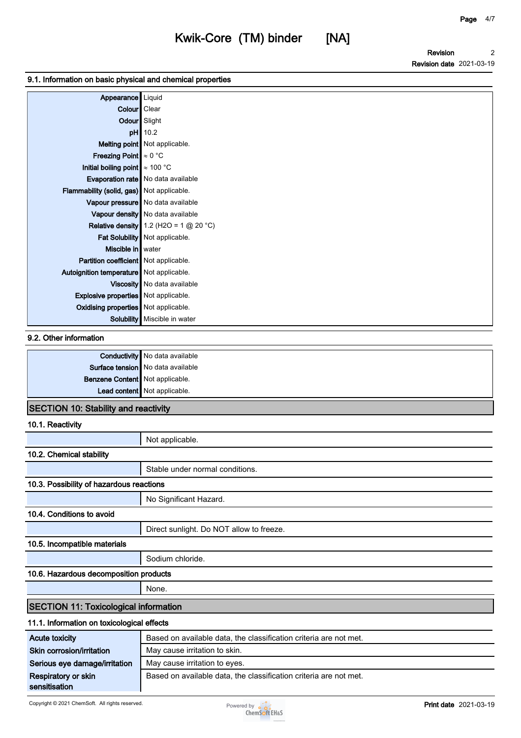**Revision Revision date 2021-03-19 2**

#### **9.1. Information on basic physical and chemical properties**

| Appearance   Liquid                         |                                          |
|---------------------------------------------|------------------------------------------|
| Colour   Clear                              |                                          |
| Odour Slight                                |                                          |
|                                             | $pH$ 10.2                                |
|                                             | Melting point Not applicable.            |
| Freezing Point $\approx 0^{\circ}$ C        |                                          |
| Initial boiling point $\approx 100$ °C      |                                          |
|                                             | Evaporation rate   No data available     |
| Flammability (solid, gas) Not applicable.   |                                          |
|                                             | Vapour pressure   No data available      |
|                                             | Vapour density No data available         |
|                                             | Relative density 1.2 (H2O = 1 $@$ 20 °C) |
|                                             | Fat Solubility Not applicable.           |
| Miscible in water                           |                                          |
| Partition coefficient Not applicable.       |                                          |
| Autoignition temperature   Not applicable.  |                                          |
|                                             | Viscosity   No data available            |
| <b>Explosive properties</b> Not applicable. |                                          |
| Oxidising properties Not applicable.        |                                          |
|                                             | <b>Solubility</b> Miscible in water      |

#### **9.2. Other information**

|                                 | <b>Conductivity</b> No data available |
|---------------------------------|---------------------------------------|
|                                 | Surface tension No data available     |
| Benzene Content Not applicable. |                                       |
|                                 | Lead content Not applicable.          |
|                                 |                                       |

## **SECTION 10: Stability and reactivity**

**10.1. Reactivity**

|                                              | Not applicable.                                                   |
|----------------------------------------------|-------------------------------------------------------------------|
| 10.2. Chemical stability                     |                                                                   |
|                                              | Stable under normal conditions.                                   |
| 10.3. Possibility of hazardous reactions     |                                                                   |
|                                              | No Significant Hazard.                                            |
| 10.4. Conditions to avoid                    |                                                                   |
|                                              | Direct sunlight. Do NOT allow to freeze.                          |
| 10.5. Incompatible materials                 |                                                                   |
|                                              | Sodium chloride.                                                  |
| 10.6. Hazardous decomposition products       |                                                                   |
|                                              | None.                                                             |
| <b>SECTION 11: Toxicological information</b> |                                                                   |
| 11.1. Information on toxicological effects   |                                                                   |
| <b>Acute toxicity</b>                        | Based on available data, the classification criteria are not met. |
| Skin corrosion/irritation                    | May cause irritation to skin.                                     |
| Serious eye damage/irritation                | May cause irritation to eyes.                                     |
| Respiratory or skin                          | Based on available data, the classification criteria are not met. |

**Respiratory or skin sensitisation**

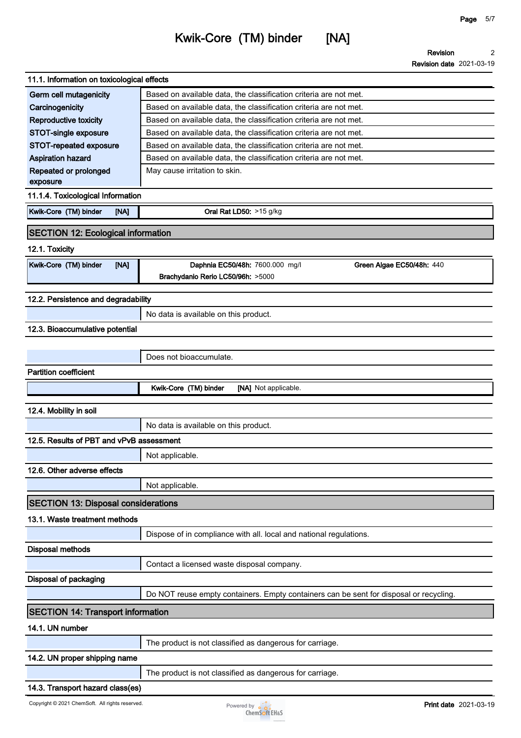**Revision Revision date 2021-03-19 2**

| 11.1. Information on toxicological effects                                                                                                                                                     |                                                                                                                                        |
|------------------------------------------------------------------------------------------------------------------------------------------------------------------------------------------------|----------------------------------------------------------------------------------------------------------------------------------------|
| Germ cell mutagenicity                                                                                                                                                                         | Based on available data, the classification criteria are not met.                                                                      |
| Carcinogenicity                                                                                                                                                                                | Based on available data, the classification criteria are not met.                                                                      |
| Reproductive toxicity                                                                                                                                                                          | Based on available data, the classification criteria are not met.<br>Based on available data, the classification criteria are not met. |
| <b>STOT-single exposure</b>                                                                                                                                                                    |                                                                                                                                        |
| STOT-repeated exposure<br><b>Aspiration hazard</b>                                                                                                                                             | Based on available data, the classification criteria are not met.<br>Based on available data, the classification criteria are not met. |
| Repeated or prolonged                                                                                                                                                                          | May cause irritation to skin.                                                                                                          |
| exposure                                                                                                                                                                                       |                                                                                                                                        |
| 11.1.4. Toxicological Information                                                                                                                                                              |                                                                                                                                        |
| Kwik-Core (TM) binder<br>[NA]                                                                                                                                                                  | Oral Rat LD50: >15 g/kg                                                                                                                |
| <b>SECTION 12: Ecological information</b>                                                                                                                                                      |                                                                                                                                        |
| 12.1. Toxicity                                                                                                                                                                                 |                                                                                                                                        |
|                                                                                                                                                                                                |                                                                                                                                        |
| Kwik-Core (TM) binder<br>[NA]                                                                                                                                                                  | Daphnia EC50/48h: 7600.000 mg/l<br>Green Algae EC50/48h: 440                                                                           |
|                                                                                                                                                                                                | Brachydanio Rerio LC50/96h: >5000                                                                                                      |
| 12.2. Persistence and degradability                                                                                                                                                            |                                                                                                                                        |
|                                                                                                                                                                                                | No data is available on this product.                                                                                                  |
| 12.3. Bioaccumulative potential                                                                                                                                                                |                                                                                                                                        |
|                                                                                                                                                                                                |                                                                                                                                        |
|                                                                                                                                                                                                | Does not bioaccumulate.                                                                                                                |
| <b>Partition coefficient</b>                                                                                                                                                                   |                                                                                                                                        |
|                                                                                                                                                                                                | Kwik-Core (TM) binder<br>[NA] Not applicable.                                                                                          |
|                                                                                                                                                                                                |                                                                                                                                        |
| 12.4. Mobility in soil                                                                                                                                                                         |                                                                                                                                        |
|                                                                                                                                                                                                | No data is available on this product.                                                                                                  |
| 12.5. Results of PBT and vPvB assessment                                                                                                                                                       |                                                                                                                                        |
|                                                                                                                                                                                                | Not applicable.                                                                                                                        |
| 12.6. Other adverse effects                                                                                                                                                                    |                                                                                                                                        |
|                                                                                                                                                                                                |                                                                                                                                        |
|                                                                                                                                                                                                |                                                                                                                                        |
|                                                                                                                                                                                                | Not applicable.                                                                                                                        |
|                                                                                                                                                                                                |                                                                                                                                        |
|                                                                                                                                                                                                |                                                                                                                                        |
|                                                                                                                                                                                                | Dispose of in compliance with all. local and national regulations.                                                                     |
|                                                                                                                                                                                                |                                                                                                                                        |
|                                                                                                                                                                                                | Contact a licensed waste disposal company.                                                                                             |
|                                                                                                                                                                                                |                                                                                                                                        |
|                                                                                                                                                                                                |                                                                                                                                        |
|                                                                                                                                                                                                | Do NOT reuse empty containers. Empty containers can be sent for disposal or recycling.                                                 |
|                                                                                                                                                                                                |                                                                                                                                        |
| <b>SECTION 13: Disposal considerations</b><br>13.1. Waste treatment methods<br><b>Disposal methods</b><br>Disposal of packaging<br><b>SECTION 14: Transport information</b><br>14.1. UN number |                                                                                                                                        |
|                                                                                                                                                                                                | The product is not classified as dangerous for carriage.                                                                               |
| 14.2. UN proper shipping name                                                                                                                                                                  |                                                                                                                                        |
|                                                                                                                                                                                                | The product is not classified as dangerous for carriage.                                                                               |

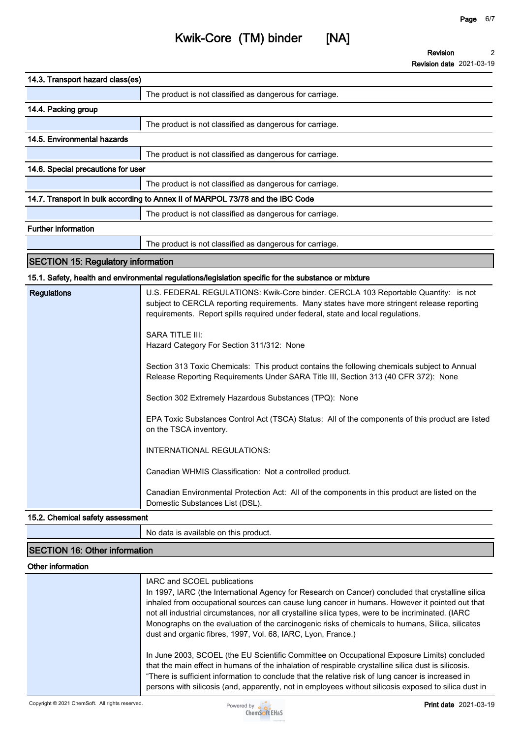| 14.3. Transport hazard class(es)          |                                                                                                                                                                                                                                                                       |  |
|-------------------------------------------|-----------------------------------------------------------------------------------------------------------------------------------------------------------------------------------------------------------------------------------------------------------------------|--|
|                                           | The product is not classified as dangerous for carriage.                                                                                                                                                                                                              |  |
| 14.4. Packing group                       |                                                                                                                                                                                                                                                                       |  |
|                                           | The product is not classified as dangerous for carriage.                                                                                                                                                                                                              |  |
| 14.5. Environmental hazards               |                                                                                                                                                                                                                                                                       |  |
|                                           | The product is not classified as dangerous for carriage.                                                                                                                                                                                                              |  |
|                                           | 14.6. Special precautions for user                                                                                                                                                                                                                                    |  |
|                                           | The product is not classified as dangerous for carriage.                                                                                                                                                                                                              |  |
|                                           | 14.7. Transport in bulk according to Annex II of MARPOL 73/78 and the IBC Code                                                                                                                                                                                        |  |
|                                           | The product is not classified as dangerous for carriage.                                                                                                                                                                                                              |  |
| <b>Further information</b>                |                                                                                                                                                                                                                                                                       |  |
|                                           | The product is not classified as dangerous for carriage.                                                                                                                                                                                                              |  |
| <b>SECTION 15: Regulatory information</b> |                                                                                                                                                                                                                                                                       |  |
|                                           | 15.1. Safety, health and environmental regulations/legislation specific for the substance or mixture                                                                                                                                                                  |  |
| <b>Regulations</b>                        | U.S. FEDERAL REGULATIONS: Kwik-Core binder. CERCLA 103 Reportable Quantity: is not<br>subject to CERCLA reporting requirements. Many states have more stringent release reporting<br>requirements. Report spills required under federal, state and local regulations. |  |

**SARA TITLE III: Hazard Category For Section 311/312: None**

**Section 313 Toxic Chemicals: This product contains the following chemicals subject to Annual Release Reporting Requirements Under SARA Title III, Section 313 (40 CFR 372): None**

**Section 302 Extremely Hazardous Substances (TPQ): None**

**EPA Toxic Substances Control Act (TSCA) Status: All of the components of this product are listed on the TSCA inventory.**

**INTERNATIONAL REGULATIONS:**

**Canadian WHMIS Classification: Not a controlled product.**

**Canadian Environmental Protection Act: All of the components in this product are listed on the Domestic Substances List (DSL).**

#### **15.2. Chemical safety assessment**

**No data is available on this product.**

## **SECTION 16: Other information**

#### **Other information**

| IARC and SCOEL publications<br>In 1997, IARC (the International Agency for Research on Cancer) concluded that crystalline silica<br>inhaled from occupational sources can cause lung cancer in humans. However it pointed out that<br>not all industrial circumstances, nor all crystalline silica types, were to be incriminated. (IARC<br>Monographs on the evaluation of the carcinogenic risks of chemicals to humans, Silica, silicates<br>dust and organic fibres, 1997, Vol. 68, IARC, Lyon, France.) |
|--------------------------------------------------------------------------------------------------------------------------------------------------------------------------------------------------------------------------------------------------------------------------------------------------------------------------------------------------------------------------------------------------------------------------------------------------------------------------------------------------------------|
| In June 2003, SCOEL (the EU Scientific Committee on Occupational Exposure Limits) concluded<br>that the main effect in humans of the inhalation of respirable crystalline silica dust is silicosis.<br>"There is sufficient information to conclude that the relative risk of lung cancer is increased in<br>persons with silicosis (and, apparently, not in employees without silicosis exposed to silica dust in                                                                                           |